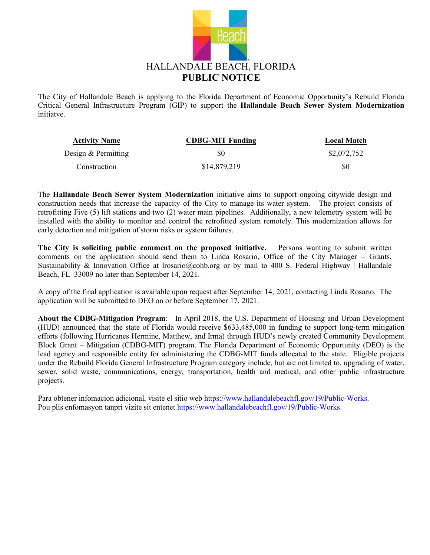

The City of Hallandale Beach is applying to the Florida Department of Economic Opportunity's Rebuild Florida Critical General Infrastructure Program (GIP) to support the **Hallandale Beach Sewer System Modernization** initiatve.

| <b>Activity Name</b> | <b>CDBG-MIT Funding</b> | <b>Local Match</b> |
|----------------------|-------------------------|--------------------|
| Design & Permitting  | \$0                     | \$2,072,752        |
| Construction         | \$14,879,219            | \$0                |

The **Hallandale Beach Sewer System Modernization** initiative aims to support ongoing citywide design and construction needs that increase the capacity of the City to manage its water system. The project consists of retrofitting Five (5) lift stations and two (2) water main pipelines. Additionally, a new telemetry system will be installed with the ability to monitor and control the retrofitted system remotely. This modernization allows for early detection and mitigation of storm risks or system failures.

**The City is soliciting public comment on the proposed initiative.** Persons wanting to submit written comments on the application should send them to Linda Rosario, Office of the City Manager – Grants, Sustainability & Innovation Office at Irosario@cohb.org or by mail to 400 S. Federal Highway | Hallandale Beach, FL 33009 no later than September 14, 2021.

A copy of the final application is available upon request after September 14, 2021, contacting Linda Rosario. The application will be submitted to DEO on or before September 17, 2021.

**About the CDBG-Mitigation Program**: In April 2018, the U.S. Department of Housing and Urban Development (HUD) announced that the state of Florida would receive \$633,485,000 in funding to support long-term mitigation efforts (following Hurricanes Hermine, Matthew, and Irma) through HUD's newly created Community Development Block Grant – Mitigation (CDBG-MIT) program. The Florida Department of Economic Opportunity (DEO) is the lead agency and responsible entity for administering the CDBG-MIT funds allocated to the state. Eligible projects under the Rebuild Florida General Infrastructure Program category include, but are not limited to, upgrading of water, sewer, solid waste, communications, energy, transportation, health and medical, and other public infrastructure projects.

Para obtener infomacion adicional, visite el sitio we[b https://www.hallandalebeachfl.gov/19/Public-Works.](https://www.hallandalebeachfl.gov/19/Public-Works) Pou plis enfomasyon tanpri vizite sit entenet [https://www.hallandalebeachfl.gov/19/Public-Works.](https://www.hallandalebeachfl.gov/19/Public-Works)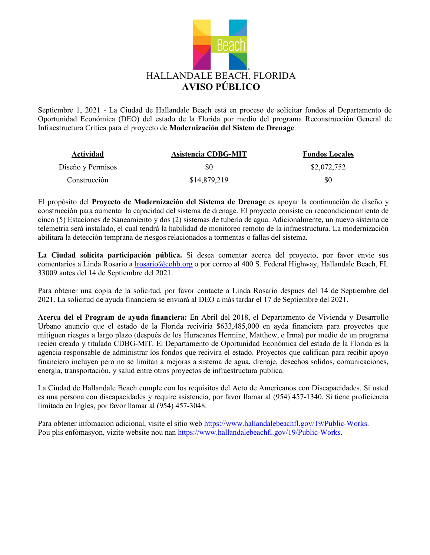

Septiembre 1, 2021 - La Ciudad de Hallandale Beach está en proceso de solicitar fondos al Departamento de Oportunidad Económica (DEO) del estado de la Florida por medio del programa Reconstrucción General de Infraestructura Critica para el proyecto de **Modernización del Sistem de Drenage**.

| <b>Actividad</b>  | Asistencia CDBG-MIT | <b>Fondos Locales</b> |
|-------------------|---------------------|-----------------------|
| Diseño y Permisos | \$0                 | \$2,072,752           |
| Construcción      | \$14,879,219        | \$0                   |

El propósito del **Proyecto de Modernización del Sistema de Drenage** es apoyar la continuación de diseño y construcción para aumentar la capacidad del sistema de drenage. El proyecto consiste en reacondicionamiento de cinco (5) Estaciones de Saneamiento y dos (2) sistemas de tubería de agua. Adicionalmente, un nuevo sistema de telemetria será instalado, el cual tendrá la habilidad de monitoreo remoto de la infraestructura. La modernización abilitara la detección temprana de riesgos relacionados a tormentas o fallas del sistema.

**La Ciudad solicita participación pública.** Si desea comentar acerca del proyecto, por favor envie sus comentarios a Linda Rosario [a lrosario@cohb.org](mailto:lrosario@cohb.org) o por correo al 400 S. Federal Highway, Hallandale Beach, FL 33009 antes del 14 de Septiembre del 2021.

Para obtener una copia de la solicitud, por favor contacte a Linda Rosario despues del 14 de Septiembre del 2021. La solicitud de ayuda financiera se enviará al DEO a más tardar el 17 de Septiembre del 2021.

**Acerca del el Program de ayuda financiera:** En Abril del 2018, el Departamento de Vivienda y Desarrollo Urbano anuncio que el estado de la Florida reciviria \$633,485,000 en ayda financiera para proyectos que mitiguen riesgos a largo plazo (después de los Huracanes Hermine, Matthew, e Irma) por medio de un programa recién creado y titulado CDBG-MIT. El Departamento de Oportunidad Económica del estado de la Florida es la agencia responsable de administrar los fondos que recivira el estado. Proyectos que califican para recibir apoyo financiero incluyen pero no se limitan a mejoras a sistema de agua, drenaje, desechos solidos, comunicaciones, energía, transportación, y salud entre otros proyectos de infraestructura publica.

La Ciudad de Hallandale Beach cumple con los requisitos del Acto de Americanos con Discapacidades. Si usted es una persona con discapacidades y require asistencia, por favor llamar al (954) 457-1340. Si tiene proficiencia limitada en Ingles, por favor llamar al (954) 457-3048.

Para obtener infomacion adicional, visite el sitio we[b https://www.hallandalebeachfl.gov/19/Public-Works.](https://www.hallandalebeachfl.gov/19/Public-Works) Pou plis enfòmasyon, vizite website nou nan [https://www.hallandalebeachfl.gov/19/Public-Works.](https://www.hallandalebeachfl.gov/19/Public-Works)